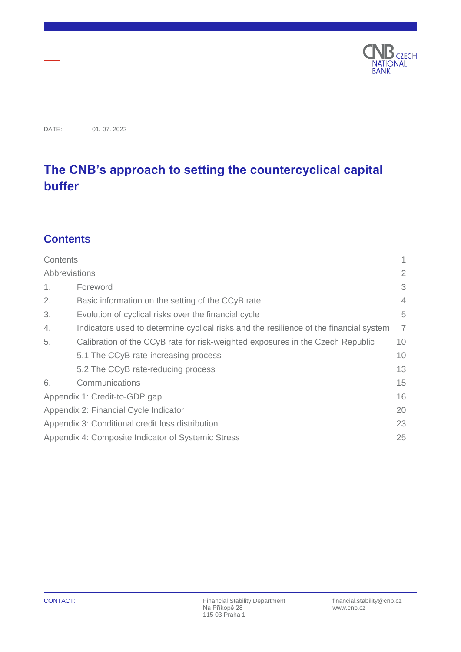

DATE: 01. 07. 2022

# **The CNB's approach to setting the countercyclical capital buffer**

## <span id="page-0-0"></span>**Contents**

| Contents                                                 |                                                                                        | 1              |
|----------------------------------------------------------|----------------------------------------------------------------------------------------|----------------|
| Abbreviations                                            |                                                                                        | 2              |
| 1.                                                       | Foreword                                                                               | 3              |
| 2.                                                       | Basic information on the setting of the CCyB rate                                      |                |
| 3.                                                       | Evolution of cyclical risks over the financial cycle                                   | 5              |
| 4.                                                       | Indicators used to determine cyclical risks and the resilience of the financial system | $\overline{7}$ |
| 5.                                                       | Calibration of the CCyB rate for risk-weighted exposures in the Czech Republic         | 10             |
|                                                          | 5.1 The CCyB rate-increasing process                                                   | 10             |
|                                                          | 5.2 The CCyB rate-reducing process                                                     | 13             |
| 6.                                                       | Communications                                                                         | 15             |
| 16<br>Appendix 1: Credit-to-GDP gap                      |                                                                                        |                |
| Appendix 2: Financial Cycle Indicator<br>20              |                                                                                        |                |
| Appendix 3: Conditional credit loss distribution<br>23   |                                                                                        |                |
| Appendix 4: Composite Indicator of Systemic Stress<br>25 |                                                                                        |                |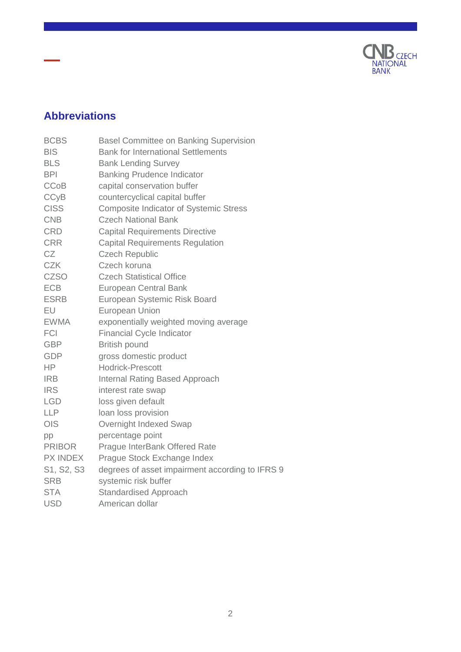

# <span id="page-1-0"></span>**Abbreviations**

| <b>BCBS</b>   | <b>Basel Committee on Banking Supervision</b>   |
|---------------|-------------------------------------------------|
| <b>BIS</b>    | <b>Bank for International Settlements</b>       |
| <b>BLS</b>    | <b>Bank Lending Survey</b>                      |
| <b>BPI</b>    | <b>Banking Prudence Indicator</b>               |
| <b>CCoB</b>   | capital conservation buffer                     |
| <b>CCyB</b>   | countercyclical capital buffer                  |
| <b>CISS</b>   | <b>Composite Indicator of Systemic Stress</b>   |
| <b>CNB</b>    | <b>Czech National Bank</b>                      |
| <b>CRD</b>    | <b>Capital Requirements Directive</b>           |
| <b>CRR</b>    | <b>Capital Requirements Regulation</b>          |
| CZ            | <b>Czech Republic</b>                           |
| <b>CZK</b>    | Czech koruna                                    |
| <b>CZSO</b>   | <b>Czech Statistical Office</b>                 |
| <b>ECB</b>    | <b>European Central Bank</b>                    |
| <b>ESRB</b>   | European Systemic Risk Board                    |
| EU            | <b>European Union</b>                           |
| <b>EWMA</b>   | exponentially weighted moving average           |
| <b>FCI</b>    | <b>Financial Cycle Indicator</b>                |
| <b>GBP</b>    | <b>British pound</b>                            |
| <b>GDP</b>    | gross domestic product                          |
| <b>HP</b>     | <b>Hodrick-Prescott</b>                         |
| <b>IRB</b>    | <b>Internal Rating Based Approach</b>           |
| <b>IRS</b>    | interest rate swap                              |
| <b>LGD</b>    | loss given default                              |
| LLP           | loan loss provision                             |
| <b>OIS</b>    | Overnight Indexed Swap                          |
| pp            | percentage point                                |
| <b>PRIBOR</b> | Prague InterBank Offered Rate                   |
| PX INDEX      | Prague Stock Exchange Index                     |
| S1, S2, S3    | degrees of asset impairment according to IFRS 9 |
| <b>SRB</b>    | systemic risk buffer                            |
| <b>STA</b>    | <b>Standardised Approach</b>                    |
| <b>USD</b>    | American dollar                                 |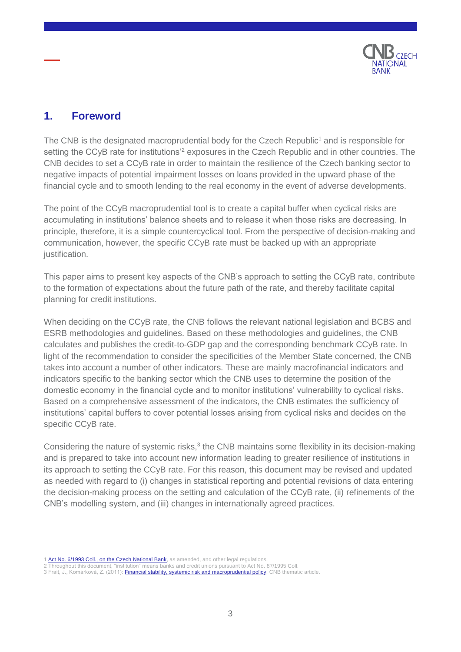

## <span id="page-2-0"></span>**1. Foreword**

The CNB is the designated macroprudential body for the Czech Republic<sup>1</sup> and is responsible for setting the CCyB rate for institutions<sup>'2</sup> exposures in the Czech Republic and in other countries. The CNB decides to set a CCyB rate in order to maintain the resilience of the Czech banking sector to negative impacts of potential impairment losses on loans provided in the upward phase of the financial cycle and to smooth lending to the real economy in the event of adverse developments.

The point of the CCyB macroprudential tool is to create a capital buffer when cyclical risks are accumulating in institutions' balance sheets and to release it when those risks are decreasing. In principle, therefore, it is a simple countercyclical tool. From the perspective of decision-making and communication, however, the specific CCyB rate must be backed up with an appropriate justification.

This paper aims to present key aspects of the CNB's approach to setting the CCyB rate, contribute to the formation of expectations about the future path of the rate, and thereby facilitate capital planning for credit institutions.

When deciding on the CCyB rate, the CNB follows the relevant national legislation and BCBS and ESRB methodologies and guidelines. Based on these methodologies and guidelines, the CNB calculates and publishes the credit-to-GDP gap and the corresponding benchmark CCyB rate. In light of the recommendation to consider the specificities of the Member State concerned, the CNB takes into account a number of other indicators. These are mainly macrofinancial indicators and indicators specific to the banking sector which the CNB uses to determine the position of the domestic economy in the financial cycle and to monitor institutions' vulnerability to cyclical risks. Based on a comprehensive assessment of the indicators, the CNB estimates the sufficiency of institutions' capital buffers to cover potential losses arising from cyclical risks and decides on the specific CCyB rate.

Considering the nature of systemic risks, $3$  the CNB maintains some flexibility in its decision-making and is prepared to take into account new information leading to greater resilience of institutions in its approach to setting the CCyB rate. For this reason, this document may be revised and updated as needed with regard to (i) changes in statistical reporting and potential revisions of data entering the decision-making process on the setting and calculation of the CCyB rate, (ii) refinements of the CNB's modelling system, and (iii) changes in internationally agreed practices.

<sup>1</sup> Act No. 6/1993 [Coll., on the Czech National Bank,](https://www.cnb.cz/export/sites/cnb/en/legislation/.galleries/acts/act_on_cnb.pdf) as amended, and other legal regulations

<sup>2</sup> Throughout this document, "institution" means banks and credit unions pursuant to Act No. 87/1995 Coll.

<sup>3</sup> Frait, J., Komárková, Z. (2011)[: Financial stability, systemic risk and macroprudential policy,](https://www.cnb.cz/export/sites/cnb/en/financial-stability/.galleries/fs_reports/fsr_2010-2011/fsr_2010-2011_article_1.pdf) CNB thematic article.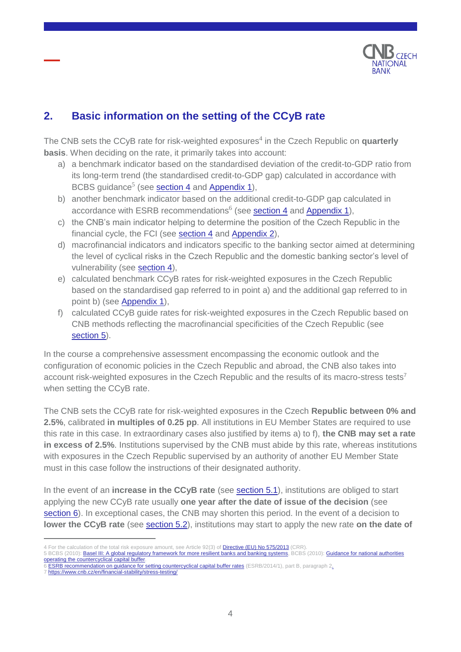

## <span id="page-3-0"></span>**2. Basic information on the setting of the CCyB rate**

The CNB sets the CCyB rate for risk-weighted exposures<sup>4</sup> in the Czech Republic on **quarterly basis**. When deciding on the rate, it primarily takes into account:

- a) a benchmark indicator based on the standardised deviation of the credit-to-GDP ratio from its long-term trend (the standardised credit-to-GDP gap) calculated in accordance with BCBS guidance<sup>5</sup> (see **section 4** and **Appendix 1**),
- b) another benchmark indicator based on the additional credit-to-GDP gap calculated in accordance with ESRB recommendations<sup>6</sup> (see **section 4** and [Appendix](#page-15-0) 1),
- c) the CNB's main indicator helping to determine the position of the Czech Republic in the financial cycle, the FCI (see [section](#page-6-0) 4 and [Appendix](#page-15-0) 2),
- d) macrofinancial indicators and indicators specific to the banking sector aimed at determining the level of cyclical risks in the Czech Republic and the domestic banking sector's level of vulnerability (see [section](#page-6-0) 4),
- e) calculated benchmark CCyB rates for risk-weighted exposures in the Czech Republic based on the standardised gap referred to in point a) and the additional gap referred to in point b) (see [Appendix](#page-15-0) 1),
- f) calculated CCyB guide rates for risk-weighted exposures in the Czech Republic based on CNB methods reflecting the macrofinancial specificities of the Czech Republic (see [section](#page-9-0) 5).

In the course a comprehensive assessment encompassing the economic outlook and the configuration of economic policies in the Czech Republic and abroad, the CNB also takes into account risk-weighted exposures in the Czech Republic and the results of its macro-stress tests<sup>7</sup> when setting the CCyB rate.

The CNB sets the CCyB rate for risk-weighted exposures in the Czech **Republic between 0% and 2.5%**, calibrated **in multiples of 0.25 pp**. All institutions in EU Member States are required to use this rate in this case. In extraordinary cases also justified by items a) to f), **the CNB may set a rate in excess of 2.5%**. Institutions supervised by the CNB must abide by this rate, whereas institutions with exposures in the Czech Republic supervised by an authority of another EU Member State must in this case follow the instructions of their designated authority.

In the event of an **increase in the CCyB rate** (see [section](#page-10-0) 5.1), institutions are obliged to start applying the new CCyB rate usually **one year after the date of issue of the decision** (see [section](#page-14-0) 6). In exceptional cases, the CNB may shorten this period. In the event of a decision to **lower the CCyB rate** (see [section](#page-12-0) 5.2), institutions may start to apply the new rate **on the date of** 

- 4 For the calculation of the total risk exposure amount, see Article 92(3) of **Directive (EU) No 575/2013** (CRR). 5 BCBS (2010)[: Basel III: A global regulatory framework for more resilient banks and banking systems,](https://www.bis.org/publ/bcbs189_dec2010.pdf) BCBS (2010)[: Guidance for national authorities](https://www.bis.org/publ/bcbs187.pdf)
- [operating the countercyclical capital buffer.](https://www.bis.org/publ/bcbs187.pdf)
- 6 **[ESRB recommendation on guidance for setting countercyclical capital buffer rates](https://www.esrb.europa.eu/pub/pdf/recommendations/140630_ESRB_Recommendation.en.pdf)** (ESRB/2014/1), part B, paragraph 2.
- 7 <https://www.cnb.cz/en/financial-stability/stress-testing/>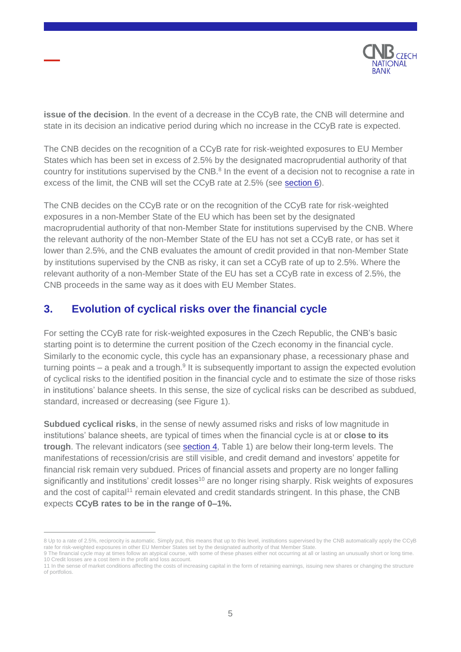

**issue of the decision**. In the event of a decrease in the CCyB rate, the CNB will determine and state in its decision an indicative period during which no increase in the CCyB rate is expected.

The CNB decides on the recognition of a CCyB rate for risk-weighted exposures to EU Member States which has been set in excess of 2.5% by the designated macroprudential authority of that country for institutions supervised by the CNB. $8$  In the event of a decision not to recognise a rate in excess of the limit, the CNB will set the CCyB rate at 2.5% (see [section](#page-14-0) 6).

The CNB decides on the CCyB rate or on the recognition of the CCyB rate for risk-weighted exposures in a non-Member State of the EU which has been set by the designated macroprudential authority of that non-Member State for institutions supervised by the CNB. Where the relevant authority of the non-Member State of the EU has not set a CCyB rate, or has set it lower than 2.5%, and the CNB evaluates the amount of credit provided in that non-Member State by institutions supervised by the CNB as risky, it can set a CCyB rate of up to 2.5%. Where the relevant authority of a non-Member State of the EU has set a CCyB rate in excess of 2.5%, the CNB proceeds in the same way as it does with EU Member States.

### <span id="page-4-0"></span>**3. Evolution of cyclical risks over the financial cycle**

For setting the CCyB rate for risk-weighted exposures in the Czech Republic, the CNB's basic starting point is to determine the current position of the Czech economy in the financial cycle. Similarly to the economic cycle, this cycle has an expansionary phase, a recessionary phase and turning points  $-$  a peak and a trough. $9$  It is subsequently important to assign the expected evolution of cyclical risks to the identified position in the financial cycle and to estimate the size of those risks in institutions' balance sheets. In this sense, the size of cyclical risks can be described as subdued, standard, increased or decreasing (see Figure 1).

**Subdued cyclical risks**, in the sense of newly assumed risks and risks of low magnitude in institutions' balance sheets, are typical of times when the financial cycle is at or **close to its trough**. The relevant indicators (see [section](#page-6-0) 4, Table 1) are below their long-term levels. The manifestations of recession/crisis are still visible, and credit demand and investors' appetite for financial risk remain very subdued. Prices of financial assets and property are no longer falling significantly and institutions' credit losses<sup>10</sup> are no longer rising sharply. Risk weights of exposures and the cost of capital<sup>11</sup> remain elevated and credit standards stringent. In this phase, the CNB expects **CCyB rates to be in the range of 0–1%.**

10 Credit losses are a cost item in the profit and loss account.

<sup>8</sup> Up to a rate of 2.5%, reciprocity is automatic. Simply put, this means that up to this level, institutions supervised by the CNB automatically apply the CCyB rate for risk-weighted exposures in other EU Member States set by the designated authority of that Member State. 9 The financial cycle may at times follow an atypical course, with some of these phases either not occurring at all or lasting an unusually short or long time.

<sup>11</sup> In the sense of market conditions affecting the costs of increasing capital in the form of retaining earnings, issuing new shares or changing the structure of portfolios.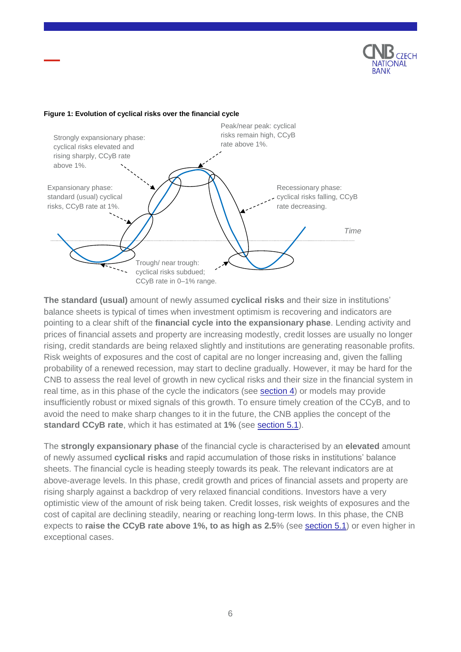

#### **Figure 1: Evolution of cyclical risks over the financial cycle**



**The standard (usual)** amount of newly assumed **cyclical risks** and their size in institutions' balance sheets is typical of times when investment optimism is recovering and indicators are pointing to a clear shift of the **financial cycle into the expansionary phase**. Lending activity and prices of financial assets and property are increasing modestly, credit losses are usually no longer rising, credit standards are being relaxed slightly and institutions are generating reasonable profits. Risk weights of exposures and the cost of capital are no longer increasing and, given the falling probability of a renewed recession, may start to decline gradually. However, it may be hard for the CNB to assess the real level of growth in new cyclical risks and their size in the financial system in real time, as in this phase of the cycle the indicators (see [section](#page-6-0) 4) or models may provide insufficiently robust or mixed signals of this growth. To ensure timely creation of the CCyB, and to avoid the need to make sharp changes to it in the future, the CNB applies the concept of the **standard CCyB rate**, which it has estimated at **1%** (see [section](#page-10-0) 5.1).

The **strongly expansionary phase** of the financial cycle is characterised by an **elevated** amount of newly assumed **cyclical risks** and rapid accumulation of those risks in institutions' balance sheets. The financial cycle is heading steeply towards its peak. The relevant indicators are at above-average levels. In this phase, credit growth and prices of financial assets and property are rising sharply against a backdrop of very relaxed financial conditions. Investors have a very optimistic view of the amount of risk being taken. Credit losses, risk weights of exposures and the cost of capital are declining steadily, nearing or reaching long-term lows. In this phase, the CNB expects to **raise the CCyB rate above 1%, to as high as 2.5**% (see [section](#page-10-0) 5.1) or even higher in exceptional cases.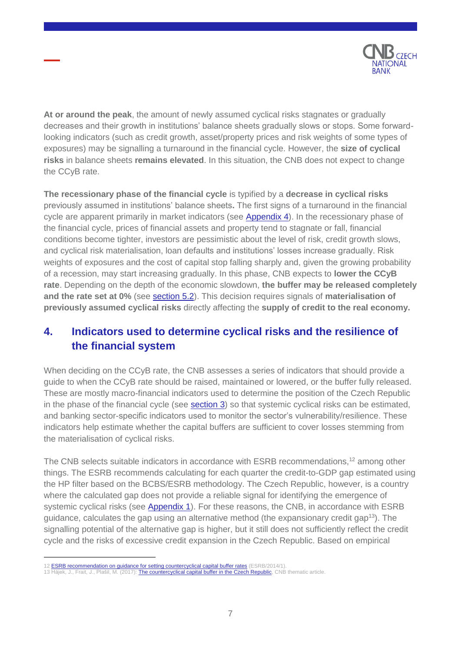

**At or around the peak**, the amount of newly assumed cyclical risks stagnates or gradually decreases and their growth in institutions' balance sheets gradually slows or stops. Some forwardlooking indicators (such as credit growth, asset/property prices and risk weights of some types of exposures) may be signalling a turnaround in the financial cycle. However, the **size of cyclical risks** in balance sheets **remains elevated**. In this situation, the CNB does not expect to change the CCyB rate.

**The recessionary phase of the financial cycle** is typified by a **decrease in cyclical risks** previously assumed in institutions' balance sheets**.** The first signs of a turnaround in the financial cycle are apparent primarily in market indicators (see [Appendix](#page-24-0) 4). In the recessionary phase of the financial cycle, prices of financial assets and property tend to stagnate or fall, financial conditions become tighter, investors are pessimistic about the level of risk, credit growth slows, and cyclical risk materialisation, loan defaults and institutions' losses increase gradually. Risk weights of exposures and the cost of capital stop falling sharply and, given the growing probability of a recession, may start increasing gradually. In this phase, CNB expects to **lower the CCyB rate**. Depending on the depth of the economic slowdown, **the buffer may be released completely and the rate set at 0%** (see [section](#page-12-0) 5.2). This decision requires signals of **materialisation of previously assumed cyclical risks** directly affecting the **supply of credit to the real economy.**

## <span id="page-6-0"></span>**4. Indicators used to determine cyclical risks and the resilience of the financial system**

When deciding on the CCyB rate, the CNB assesses a series of indicators that should provide a guide to when the CCyB rate should be raised, maintained or lowered, or the buffer fully released. These are mostly macro-financial indicators used to determine the position of the Czech Republic in the phase of the financial cycle (see [section](#page-4-0) 3) so that systemic cyclical risks can be estimated, and banking sector-specific indicators used to monitor the sector's vulnerability/resilience. These indicators help estimate whether the capital buffers are sufficient to cover losses stemming from the materialisation of cyclical risks.

The CNB selects suitable indicators in accordance with ESRB recommendations,<sup>12</sup> among other things. The ESRB recommends calculating for each quarter the credit-to-GDP gap estimated using the HP filter based on the BCBS/ESRB methodology. The Czech Republic, however, is a country where the calculated gap does not provide a reliable signal for identifying the emergence of systemic cyclical risks (see [Appendix](#page-15-0) 1). For these reasons, the CNB, in accordance with ESRB guidance, calculates the gap using an alternative method (the expansionary credit gap<sup>13</sup>). The signalling potential of the alternative gap is higher, but it still does not sufficiently reflect the credit cycle and the risks of excessive credit expansion in the Czech Republic. Based on empirical

<sup>12</sup> **[ESRB recommendation on guidance for setting countercyclical capital buffer rates](https://www.esrb.europa.eu/pub/pdf/recommendations/140630_ESRB_Recommendation.en.pdf)** (ESRB/2014/1).

<sup>13</sup> Hájek, J., Frait, J., Plašil, M. (2017)[: The countercyclical capital buffer in the Czech Republic,](https://www.cnb.cz/export/sites/cnb/en/financial-stability/.galleries/fs_reports/fsr_2016-2017/fsr_2016-2017_article_i.pdf) CNB thematic article.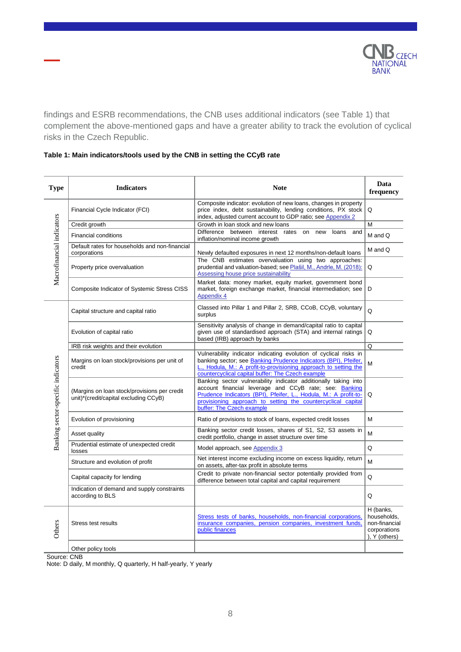

findings and ESRB recommendations, the CNB uses additional indicators (see Table 1) that complement the above-mentioned gaps and have a greater ability to track the evolution of cyclical risks in the Czech Republic.

| Type                               | <b>Indicators</b>                                                                      | <b>Note</b>                                                                                                                                                                                                                                                                                | Data<br>frequency                                                             |
|------------------------------------|----------------------------------------------------------------------------------------|--------------------------------------------------------------------------------------------------------------------------------------------------------------------------------------------------------------------------------------------------------------------------------------------|-------------------------------------------------------------------------------|
|                                    | Financial Cycle Indicator (FCI)                                                        | Composite indicator: evolution of new loans, changes in property<br>price index, debt sustainability, lending conditions, PX stock<br>index, adjusted current account to GDP ratio; see Appendix 2                                                                                         | Q                                                                             |
|                                    | Credit growth                                                                          | Growth in loan stock and new loans                                                                                                                                                                                                                                                         | M                                                                             |
|                                    | <b>Financial conditions</b>                                                            | Difference between interest rates<br>loans and<br>on<br>new<br>inflation/nominal income growth                                                                                                                                                                                             | M and Q                                                                       |
| Macrofinancial indicators          | Default rates for households and non-financial<br>corporations                         | Newly defaulted exposures in next 12 months/non-default loans                                                                                                                                                                                                                              | M and Q                                                                       |
|                                    | Property price overvaluation                                                           | The CNB estimates overvaluation using two approaches:<br>prudential and valuation-based; see Plašil, M., Andrle, M. (2018):<br>Assessing house price sustainability                                                                                                                        | Q                                                                             |
|                                    | Composite Indicator of Systemic Stress CISS                                            | Market data: money market, equity market, government bond<br>market, foreign exchange market, financial intermediation; see<br>Appendix 4                                                                                                                                                  | D                                                                             |
| Banking sector-specific indicators | Capital structure and capital ratio                                                    | Classed into Pillar 1 and Pillar 2, SRB, CCoB, CCyB, voluntary<br>surplus                                                                                                                                                                                                                  | Q                                                                             |
|                                    | Evolution of capital ratio                                                             | Sensitivity analysis of change in demand/capital ratio to capital<br>given use of standardised approach (STA) and internal ratings<br>based (IRB) approach by banks                                                                                                                        | $\Omega$                                                                      |
|                                    | IRB risk weights and their evolution                                                   |                                                                                                                                                                                                                                                                                            | O                                                                             |
|                                    | Margins on loan stock/provisions per unit of<br>credit                                 | Vulnerability indicator indicating evolution of cyclical risks in<br>banking sector; see Banking Prudence Indicators (BPI), Pfeifer,<br>L., Hodula, M.: A profit-to-provisioning approach to setting the<br>countercyclical capital buffer: The Czech example                              | M                                                                             |
|                                    | (Margins on loan stock/provisions per credit)<br>unit)*(credit/capital excluding CCyB) | Banking sector vulnerability indicator additionally taking into<br>account financial leverage and CCyB rate; see: Banking<br>Prudence Indicators (BPI), Pfeifer, L., Hodula, M.: A profit-to-<br>provisioning approach to setting the countercyclical capital<br>buffer: The Czech example | Q                                                                             |
|                                    | Evolution of provisioning                                                              | Ratio of provisions to stock of loans, expected credit losses                                                                                                                                                                                                                              | М                                                                             |
|                                    | Asset quality                                                                          | Banking sector credit losses, shares of S1, S2, S3 assets in<br>credit portfolio, change in asset structure over time                                                                                                                                                                      | M                                                                             |
|                                    | Prudential estimate of unexpected credit<br>losses                                     | Model approach, see Appendix 3                                                                                                                                                                                                                                                             | Q                                                                             |
|                                    | Structure and evolution of profit                                                      | Net interest income excluding income on excess liquidity, return<br>on assets, after-tax profit in absolute terms                                                                                                                                                                          | M                                                                             |
|                                    | Capital capacity for lending                                                           | Credit to private non-financial sector potentially provided from<br>difference between total capital and capital requirement                                                                                                                                                               | Q                                                                             |
|                                    | Indication of demand and supply constraints<br>according to BLS                        |                                                                                                                                                                                                                                                                                            | Q                                                                             |
| Others                             | Stress test results                                                                    | Stress tests of banks, households, non-financial corporations,<br>insurance companies, pension companies, investment funds,<br>public finances                                                                                                                                             | H (banks.<br>households.<br>non-financial<br>corporations<br>$)$ , Y (others) |
|                                    | Other policy tools                                                                     |                                                                                                                                                                                                                                                                                            |                                                                               |

### **Table 1: Main indicators/tools used by the CNB in setting the CCyB rate**

Source: CNB

Note: D daily, M monthly, Q quarterly, H half-yearly, Y yearly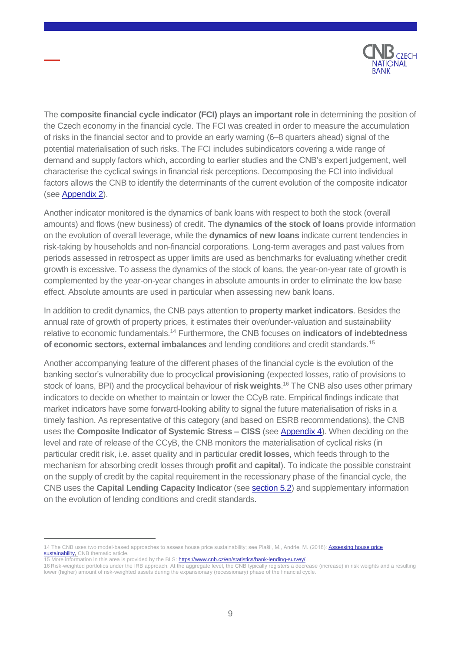

The **composite financial cycle indicator (FCI) plays an important role** in determining the position of the Czech economy in the financial cycle. The FCI was created in order to measure the accumulation of risks in the financial sector and to provide an early warning (6–8 quarters ahead) signal of the potential materialisation of such risks. The FCI includes subindicators covering a wide range of demand and supply factors which, according to earlier studies and the CNB's expert judgement, well characterise the cyclical swings in financial risk perceptions. Decomposing the FCI into individual factors allows the CNB to identify the determinants of the current evolution of the composite indicator (see [Appendix](#page-19-0) 2).

Another indicator monitored is the dynamics of bank loans with respect to both the stock (overall amounts) and flows (new business) of credit. The **dynamics of the stock of loans** provide information on the evolution of overall leverage, while the **dynamics of new loans** indicate current tendencies in risk-taking by households and non-financial corporations. Long-term averages and past values from periods assessed in retrospect as upper limits are used as benchmarks for evaluating whether credit growth is excessive. To assess the dynamics of the stock of loans, the year-on-year rate of growth is complemented by the year-on-year changes in absolute amounts in order to eliminate the low base effect. Absolute amounts are used in particular when assessing new bank loans.

In addition to credit dynamics, the CNB pays attention to **property market indicators**. Besides the annual rate of growth of property prices, it estimates their over/under-valuation and sustainability relative to economic fundamentals.<sup>14</sup> Furthermore, the CNB focuses on **indicators of indebtedness of economic sectors, external imbalances** and lending conditions and credit standards. 15

Another accompanying feature of the different phases of the financial cycle is the evolution of the banking sector's vulnerability due to procyclical **provisioning** (expected losses, ratio of provisions to stock of loans, BPI) and the procyclical behaviour of **risk weights**. <sup>16</sup> The CNB also uses other primary indicators to decide on whether to maintain or lower the CCyB rate. Empirical findings indicate that market indicators have some forward-looking ability to signal the future materialisation of risks in a timely fashion. As representative of this category (and based on ESRB recommendations), the CNB uses the **Composite Indicator of Systemic Stress – CISS** (see [Appendix](#page-24-0) 4). When deciding on the level and rate of release of the CCyB, the CNB monitors the materialisation of cyclical risks (in particular credit risk, i.e. asset quality and in particular **credit losses**, which feeds through to the mechanism for absorbing credit losses through **profit** and **capital**). To indicate the possible constraint on the supply of credit by the capital requirement in the recessionary phase of the financial cycle, the CNB uses the **Capital Lending Capacity Indicator** (see [section](#page-12-0) 5.2) and supplementary information on the evolution of lending conditions and credit standards.

<sup>14</sup> The CNB uses two model-based approaches to assess house price sustainability; see Plašil, M., Andrle, M. (2018): Assessing house price [sustainability,](https://www.cnb.cz/export/sites/cnb/en/financial-stability/.galleries/thematic-articles-on-financial-stability/tafs_2019_01_en.pdf) CNB thematic article.

**<sup>15</sup> More information in this area is provided by the BLS:** [https://www.cnb.cz/en/statistics/bank-lending-survey/.](https://www.cnb.cz/en/statistics/bank-lending-survey/)

<sup>16</sup> Risk-weighted portfolios under the IRB approach. At the aggregate level, the CNB typically registers a decrease (increase) in risk weights and a resulting lower (higher) amount of risk-weighted assets during the expansionary (recessionary) phase of the financial cycle.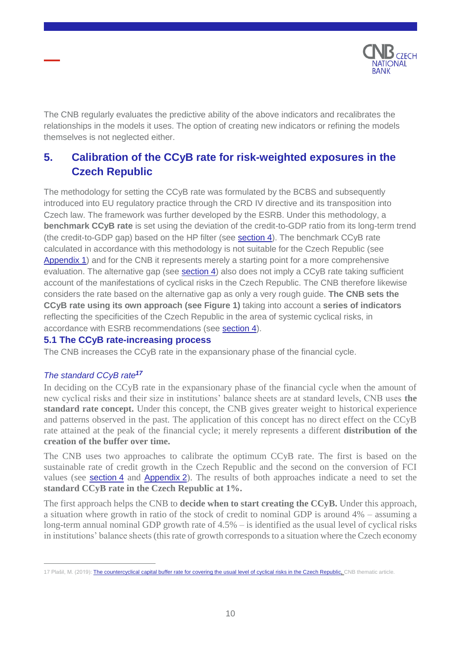

The CNB regularly evaluates the predictive ability of the above indicators and recalibrates the relationships in the models it uses. The option of creating new indicators or refining the models themselves is not neglected either.

## <span id="page-9-0"></span>**5. Calibration of the CCyB rate for risk-weighted exposures in the Czech Republic**

The methodology for setting the CCyB rate was formulated by the BCBS and subsequently introduced into EU regulatory practice through the CRD IV directive and its transposition into Czech law. The framework was further developed by the ESRB. Under this methodology, a **benchmark CCyB rate** is set using the deviation of the credit-to-GDP ratio from its long-term trend (the credit-to-GDP gap) based on the HP filter (see [section](#page-6-0) 4). The benchmark CCyB rate calculated in accordance with this methodology is not suitable for the Czech Republic (see [Appendix](#page-15-0) 1) and for the CNB it represents merely a starting point for a more comprehensive evaluation. The alternative gap (see [section](#page-6-0) 4) also does not imply a CCyB rate taking sufficient account of the manifestations of cyclical risks in the Czech Republic. The CNB therefore likewise considers the rate based on the alternative gap as only a very rough guide. **The CNB sets the CCyB rate using its own approach (see Figure 1)** taking into account a **series of indicators** reflecting the specificities of the Czech Republic in the area of systemic cyclical risks, in accordance with ESRB recommendations (see [section](#page-6-0) 4).

### <span id="page-9-1"></span>**5.1 The CCyB rate-increasing process**

The CNB increases the CCyB rate in the expansionary phase of the financial cycle.

### *The standard CCyB rate<sup>17</sup>*

 $\overline{a}$ 

In deciding on the CCyB rate in the expansionary phase of the financial cycle when the amount of new cyclical risks and their size in institutions' balance sheets are at standard levels, CNB uses **the standard rate concept.** Under this concept, the CNB gives greater weight to historical experience and patterns observed in the past. The application of this concept has no direct effect on the CCyB rate attained at the peak of the financial cycle; it merely represents a different **distribution of the creation of the buffer over time.**

The CNB uses two approaches to calibrate the optimum CCyB rate. The first is based on the sustainable rate of credit growth in the Czech Republic and the second on the conversion of FCI values (see **[section](#page-6-0) 4** and **[Appendix](#page-19-0) 2**). The results of both approaches indicate a need to set the **standard CCyB rate in the Czech Republic at 1%.**

The first approach helps the CNB to **decide when to start creating the CCyB.** Under this approach, a situation where growth in ratio of the stock of credit to nominal GDP is around 4% – assuming a long-term annual nominal GDP growth rate of 4.5% – is identified as the usual level of cyclical risks in institutions' balance sheets (this rate of growth corresponds to a situation where the Czech economy

<sup>17</sup> Plašil, M. (2019): [The countercyclical capital buffer rate for covering the usual level of cyclical risks in the Czech Republic,](https://www.cnb.cz/export/sites/cnb/en/financial-stability/.galleries/thematic-articles-on-financial-stability/tafs_2019_02_en.pdf) CNB thematic article.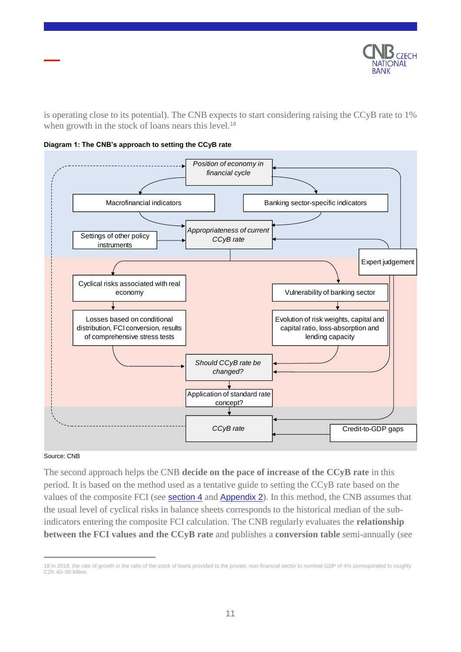

is operating close to its potential). The CNB expects to start considering raising the CCyB rate to 1% when growth in the stock of loans nears this level.<sup>18</sup>





#### Source: CNB

 $\overline{a}$ 

<span id="page-10-0"></span>The second approach helps the CNB **decide on the pace of increase of the CCyB rate** in this period. It is based on the method used as a tentative guide to setting the CCyB rate based on the values of the composite FCI (see **[section](#page-6-0) 4** and **[Appendix](#page-19-0) 2**). In this method, the CNB assumes that the usual level of cyclical risks in balance sheets corresponds to the historical median of the subindicators entering the composite FCI calculation. The CNB regularly evaluates the **relationship between the FCI values and the CCyB rate** and publishes a **conversion table** semi-annually (see

<sup>18</sup> In 2018, the rate of growth in the ratio of the stock of loans provided to the private, non-financial sector to nominal GDP of 4% corresponded to roughly CZK 40–50 billion.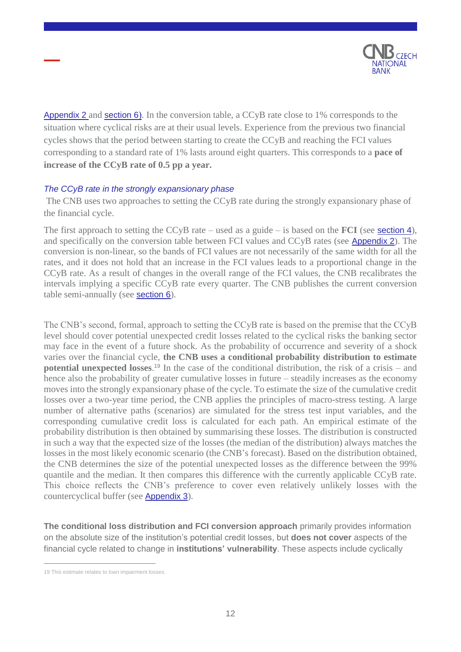

[Appendix](#page-19-0) 2 and [section](#page-14-0) 6). In the conversion table, a CCyB rate close to 1% corresponds to the situation where cyclical risks are at their usual levels. Experience from the previous two financial cycles shows that the period between starting to create the CCyB and reaching the FCI values corresponding to a standard rate of 1% lasts around eight quarters. This corresponds to a **pace of increase of the CCyB rate of 0.5 pp a year.**

### *The CCyB rate in the strongly expansionary phase*

The CNB uses two approaches to setting the CCyB rate during the strongly expansionary phase of the financial cycle.

The first approach to setting the CCyB rate – used as a guide – is based on the **FCI** (see [section](#page-6-0) 4), and specifically on the conversion table between FCI values and CCyB rates (see [Appendix](#page-19-0) 2). The conversion is non-linear, so the bands of FCI values are not necessarily of the same width for all the rates, and it does not hold that an increase in the FCI values leads to a proportional change in the CCyB rate. As a result of changes in the overall range of the FCI values, the CNB recalibrates the intervals implying a specific CCyB rate every quarter. The CNB publishes the current conversion table semi-annually (see [section](#page-14-0) 6).

The CNB's second, formal, approach to setting the CCyB rate is based on the premise that the CCyB level should cover potential unexpected credit losses related to the cyclical risks the banking sector may face in the event of a future shock. As the probability of occurrence and severity of a shock varies over the financial cycle, **the CNB uses a conditional probability distribution to estimate potential unexpected losses**. <sup>19</sup> In the case of the conditional distribution, the risk of a crisis – and hence also the probability of greater cumulative losses in future – steadily increases as the economy moves into the strongly expansionary phase of the cycle. To estimate the size of the cumulative credit losses over a two-year time period, the CNB applies the principles of macro-stress testing. A large number of alternative paths (scenarios) are simulated for the stress test input variables, and the corresponding cumulative credit loss is calculated for each path. An empirical estimate of the probability distribution is then obtained by summarising these losses. The distribution is constructed in such a way that the expected size of the losses (the median of the distribution) always matches the losses in the most likely economic scenario (the CNB's forecast). Based on the distribution obtained, the CNB determines the size of the potential unexpected losses as the difference between the 99% quantile and the median. It then compares this difference with the currently applicable CCyB rate. This choice reflects the CNB's preference to cover even relatively unlikely losses with the countercyclical buffer (see [Appendix](#page-22-0) 3).

**The conditional loss distribution and FCI conversion approach** primarily provides information on the absolute size of the institution's potential credit losses, but **does not cover** aspects of the financial cycle related to change in **institutions' vulnerability**. These aspects include cyclically

<sup>19</sup> This estimate relates to loan impairment losses.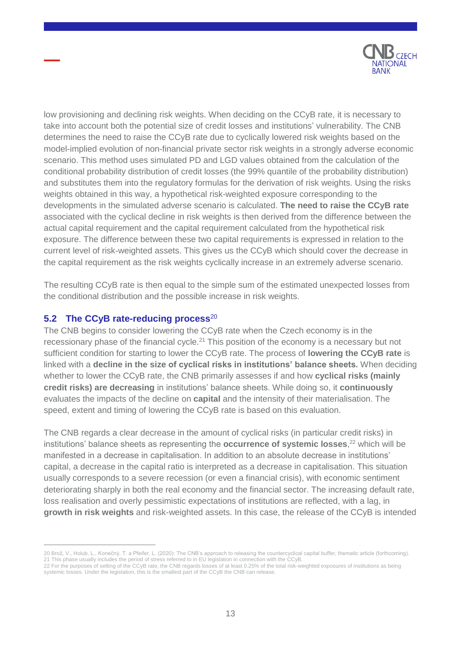

low provisioning and declining risk weights. When deciding on the CCyB rate, it is necessary to take into account both the potential size of credit losses and institutions' vulnerability. The CNB determines the need to raise the CCyB rate due to cyclically lowered risk weights based on the model-implied evolution of non-financial private sector risk weights in a strongly adverse economic scenario. This method uses simulated PD and LGD values obtained from the calculation of the conditional probability distribution of credit losses (the 99% quantile of the probability distribution) and substitutes them into the regulatory formulas for the derivation of risk weights. Using the risks weights obtained in this way, a hypothetical risk-weighted exposure corresponding to the developments in the simulated adverse scenario is calculated. **The need to raise the CCyB rate** associated with the cyclical decline in risk weights is then derived from the difference between the actual capital requirement and the capital requirement calculated from the hypothetical risk exposure. The difference between these two capital requirements is expressed in relation to the current level of risk-weighted assets. This gives us the CCyB which should cover the decrease in the capital requirement as the risk weights cyclically increase in an extremely adverse scenario.

The resulting CCyB rate is then equal to the simple sum of the estimated unexpected losses from the conditional distribution and the possible increase in risk weights.

### <span id="page-12-0"></span>**5.2 The CCyB rate-reducing process**<sup>20</sup>

 $\overline{a}$ 

The CNB begins to consider lowering the CCyB rate when the Czech economy is in the recessionary phase of the financial cycle.<sup>21</sup> This position of the economy is a necessary but not sufficient condition for starting to lower the CCyB rate. The process of **lowering the CCyB rate** is linked with a **decline in the size of cyclical risks in institutions' balance sheets.** When deciding whether to lower the CCyB rate, the CNB primarily assesses if and how **cyclical risks (mainly credit risks) are decreasing** in institutions' balance sheets. While doing so, it **continuously** evaluates the impacts of the decline on **capital** and the intensity of their materialisation. The speed, extent and timing of lowering the CCyB rate is based on this evaluation.

The CNB regards a clear decrease in the amount of cyclical risks (in particular credit risks) in institutions' balance sheets as representing the **occurrence of systemic losses**, <sup>22</sup> which will be manifested in a decrease in capitalisation. In addition to an absolute decrease in institutions' capital, a decrease in the capital ratio is interpreted as a decrease in capitalisation. This situation usually corresponds to a severe recession (or even a financial crisis), with economic sentiment deteriorating sharply in both the real economy and the financial sector. The increasing default rate, loss realisation and overly pessimistic expectations of institutions are reflected, with a lag, in **growth in risk weights** and risk-weighted assets. In this case, the release of the CCyB is intended

<sup>20</sup> Brož, V., Holub, L., Konečný, T. a Pfeifer, L. (2020): The CNB's approach to releasing the countercyclical capital buffer, thematic article (forthcoming). 21 This phase usually includes the period of stress referred to in EU legislation in connection with the CCyB.

<sup>22</sup> For the purposes of setting of the CCyB rate, the CNB regards losses of at least 0.25% of the total risk-weighted exposures of institutions as being systemic losses. Under the legislation, this is the smallest part of the CCyB the CNB can release.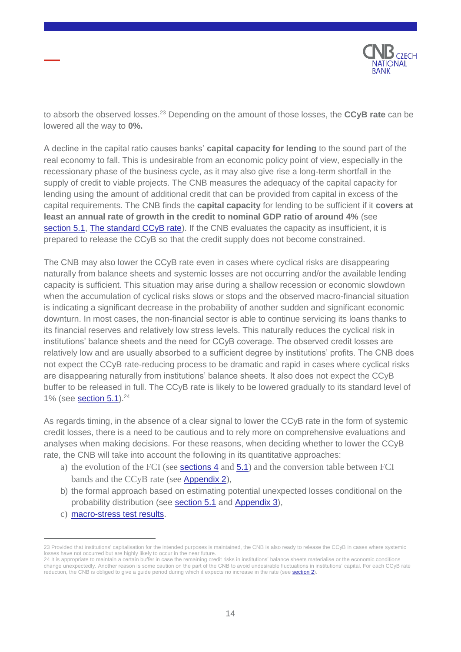

to absorb the observed losses.<sup>23</sup> Depending on the amount of those losses, the **CCyB rate** can be lowered all the way to **0%.**

A decline in the capital ratio causes banks' **capital capacity for lending** to the sound part of the real economy to fall. This is undesirable from an economic policy point of view, especially in the recessionary phase of the business cycle, as it may also give rise a long-term shortfall in the supply of credit to viable projects. The CNB measures the adequacy of the capital capacity for lending using the amount of additional credit that can be provided from capital in excess of the capital requirements. The CNB finds the **capital capacity** for lending to be sufficient if it **covers at least an annual rate of growth in the credit to nominal GDP ratio of around 4%** (see [section](#page-10-0) 5.1, The standard CCyB rate). If the CNB evaluates the capacity as insufficient, it is prepared to release the CCyB so that the credit supply does not become constrained.

The CNB may also lower the CCyB rate even in cases where cyclical risks are disappearing naturally from balance sheets and systemic losses are not occurring and/or the available lending capacity is sufficient. This situation may arise during a shallow recession or economic slowdown when the accumulation of cyclical risks slows or stops and the observed macro-financial situation is indicating a significant decrease in the probability of another sudden and significant economic downturn. In most cases, the non-financial sector is able to continue servicing its loans thanks to its financial reserves and relatively low stress levels. This naturally reduces the cyclical risk in institutions' balance sheets and the need for CCyB coverage. The observed credit losses are relatively low and are usually absorbed to a sufficient degree by institutions' profits. The CNB does not expect the CCyB rate-reducing process to be dramatic and rapid in cases where cyclical risks are disappearing naturally from institutions' balance sheets. It also does not expect the CCyB buffer to be released in full. The CCyB rate is likely to be lowered gradually to its standard level of 1% (see [section](#page-10-0)  $5.1$ ).<sup>24</sup>

As regards timing, in the absence of a clear signal to lower the CCyB rate in the form of systemic credit losses, there is a need to be cautious and to rely more on comprehensive evaluations and analyses when making decisions. For these reasons, when deciding whether to lower the CCyB rate, the CNB will take into account the following in its quantitative approaches:

- a) the evolution of the FCI (see **[sections](#page-6-0) 4** and  $5.1$ ) and the conversion table between FCI bands and the CCyB rate (see [Appendix](#page-19-0) 2),
- b) the formal approach based on estimating potential unexpected losses conditional on the probability distribution (see [section](#page-10-0) 5.1 and [Appendix](#page-22-0) 3),
- c) [macro-stress test results](https://www.cnb.cz/en/financial-stability/stress-testing/).

<sup>23</sup> Provided that institutions' capitalisation for the intended purposes is maintained, the CNB is also ready to release the CCyB in cases where systemic losses have not occurred but are highly likely to occur in the near future.

<sup>24</sup> It is appropriate to maintain a certain buffer in case the remaining credit risks in institutions' balance sheets materialise or the economic conditions change unexpectedly. Another reason is some caution on the part of the CNB to avoid undesirable fluctuations in institutions' capital. For each CCyB rate reduction, the CNB is obliged to give a guide period during which it expects no increase in the rate (see section 2).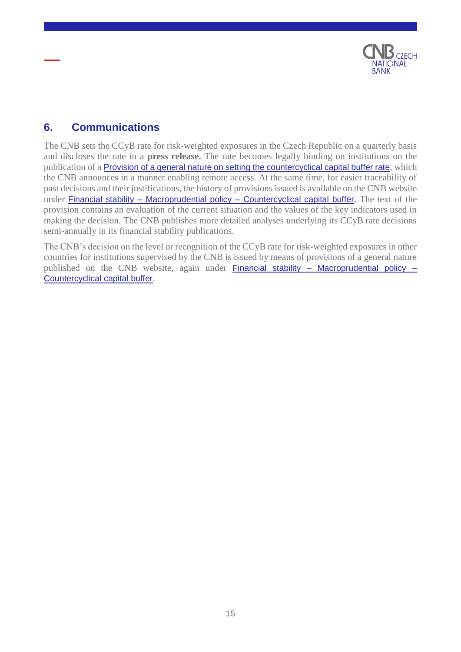

## <span id="page-14-0"></span>**6. Communications**

The CNB sets the CCyB rate for risk-weighted exposures in the Czech Republic on a quarterly basis and discloses the rate in a **press release.** The rate becomes legally binding on institutions on the publication of a [Provision of a general nature on setting the countercyclical capital buffer rate](https://www.cnb.cz/en/financial-stability/macroprudential-policy/the-countercyclical-capital-buffer/), which the CNB announces in a manner enabling remote access. At the same time, for easier traceability of past decisions and their justifications, the history of provisions issued is available on the CNB website under Financial stability – Macroprudential policy – [Countercyclical capital buffer](https://www.cnb.cz/en/financial-stability/macroprudential-policy/the-countercyclical-capital-buffer/). The text of the provision contains an evaluation of the current situation and the values of the key indicators used in making the decision. The CNB publishes more detailed analyses underlying its CCyB rate decisions semi-annually in its financial stability publications.

The CNB's decision on the level or recognition of the CCyB rate for risk-weighted exposures in other countries for institutions supervised by the CNB is issued by means of provisions of a general nature published on the CNB website, again under Financial stability – [Macroprudential policy –](https://www.cnb.cz/en/financial-stability/macroprudential-policy/the-countercyclical-capital-buffer/) [Countercyclical capital buffer](https://www.cnb.cz/en/financial-stability/macroprudential-policy/the-countercyclical-capital-buffer/).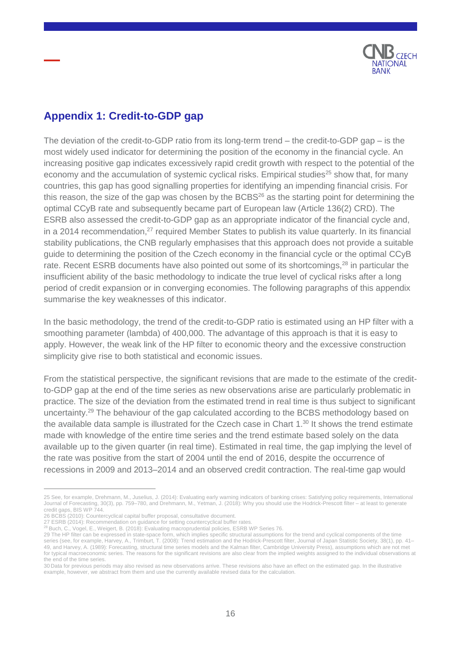

## <span id="page-15-0"></span>**Appendix 1: Credit-to-GDP gap**

The deviation of the credit-to-GDP ratio from its long-term trend – the credit-to-GDP gap – is the most widely used indicator for determining the position of the economy in the financial cycle. An increasing positive gap indicates excessively rapid credit growth with respect to the potential of the economy and the accumulation of systemic cyclical risks. Empirical studies<sup>25</sup> show that, for many countries, this gap has good signalling properties for identifying an impending financial crisis. For this reason, the size of the gap was chosen by the  $BCBS^{26}$  as the starting point for determining the optimal CCyB rate and subsequently became part of European law (Article 136(2) CRD). The ESRB also assessed the credit-to-GDP gap as an appropriate indicator of the financial cycle and, in a 2014 recommendation, $27$  required Member States to publish its value quarterly. In its financial stability publications, the CNB regularly emphasises that this approach does not provide a suitable guide to determining the position of the Czech economy in the financial cycle or the optimal CCyB rate. Recent ESRB documents have also pointed out some of its shortcomings,<sup>28</sup> in particular the insufficient ability of the basic methodology to indicate the true level of cyclical risks after a long period of credit expansion or in converging economies. The following paragraphs of this appendix summarise the key weaknesses of this indicator.

In the basic methodology, the trend of the credit-to-GDP ratio is estimated using an HP filter with a smoothing parameter (lambda) of 400,000. The advantage of this approach is that it is easy to apply. However, the weak link of the HP filter to economic theory and the excessive construction simplicity give rise to both statistical and economic issues.

From the statistical perspective, the significant revisions that are made to the estimate of the creditto-GDP gap at the end of the time series as new observations arise are particularly problematic in practice. The size of the deviation from the estimated trend in real time is thus subject to significant uncertainty.<sup>29</sup> The behaviour of the gap calculated according to the BCBS methodology based on the available data sample is illustrated for the Czech case in Chart 1.<sup>30</sup> It shows the trend estimate made with knowledge of the entire time series and the trend estimate based solely on the data available up to the given quarter (in real time). Estimated in real time, the gap implying the level of the rate was positive from the start of 2004 until the end of 2016, despite the occurrence of recessions in 2009 and 2013–2014 and an observed credit contraction. The real-time gap would

<sup>25</sup> See, for example, Drehmann, M., Juselius, J. (2014): Evaluating early warning indicators of banking crises: Satisfying policy requirements, International Journal of Forecasting, 30(3), pp. 759–780, and Drehmann, M., Yetman, J. (2018): Why you should use the Hodrick-Prescott filter – at least to generate credit gaps, BIS WP 744.

<sup>26</sup> BCBS (2010): Countercyclical capital buffer proposal, consultative document.

<sup>27</sup> ESRB (2014): Recommendation on guidance for setting countercyclical buffer rates.<br><sup>28</sup> Buch, C., Vogel, E., Weigert, B. (2018): Evaluating macroprudential policies, ESRB WP Series 76.

<sup>29</sup> The HP filter can be expressed in state-space form, which implies specific structural assumptions for the trend and cyclical components of the time series (see, for example, Harvey, A., Trimburt, T. (2008): Trend estimation and the Hodrick-Prescott filter, Journal of Japan Statistic Society, 38(1), pp. 41-49, and Harvey, A. (1989): Forecasting, structural time series models and the Kalman filter, Cambridge University Press), assumptions which are not met for typical macroeconomic series. The reasons for the significant revisions are also clear from the implied weights assigned to the individual observations at the end of the time series.

<sup>30</sup> Data for previous periods may also revised as new observations arrive. These revisions also have an effect on the estimated gap. In the illustrative example, however, we abstract from them and use the currently available revised data for the calculation.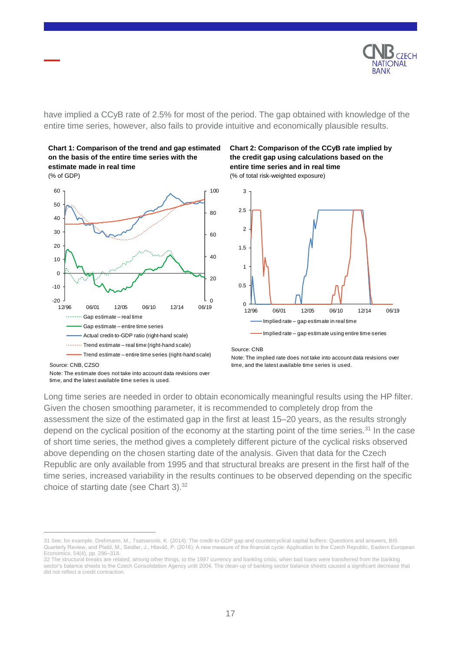

have implied a CCyB rate of 2.5% for most of the period. The gap obtained with knowledge of the entire time series, however, also fails to provide intuitive and economically plausible results.



(% of GDP)



#### **Chart 2: Comparison of the CCyB rate implied by the credit gap using calculations based on the entire time series and in real time** (% of total risk-weighted exposure)



#### Implied rate – gap estimate using entire time series

Source: CNB

Note: The implied rate does not take into account data revisions over time, and the latest available time series is used.

 $\overline{a}$ 

Long time series are needed in order to obtain economically meaningful results using the HP filter. Given the chosen smoothing parameter, it is recommended to completely drop from the assessment the size of the estimated gap in the first at least 15–20 years, as the results strongly depend on the cyclical position of the economy at the starting point of the time series.<sup>31</sup> In the case of short time series, the method gives a completely different picture of the cyclical risks observed above depending on the chosen starting date of the analysis. Given that data for the Czech Republic are only available from 1995 and that structural breaks are present in the first half of the time series, increased variability in the results continues to be observed depending on the specific choice of starting date (see Chart 3).<sup>32</sup>

time, and the latest available time series is used.

<sup>31</sup> See, for example, Drehmann, M., Tsatsaronis, K. (2014): The credit-to-GDP gap and countercyclical capital buffers: Questions and answers, BIS Quarterly Review, and Plašil, M., Seidler, J., Hlaváč, P. (2016): A new measure of the financial cycle: Application to the Czech Republic, Eastern European Economics, 54(4), pp. 296–318.

<sup>32</sup> The structural breaks are related, among other things, to the 1997 currency and banking crisis, when bad loans were transferred from the banking sector's balance sheets to the Czech Consolidation Agency until 2004. The clean-up of banking sector balance sheets caused a significant decrease that did not reflect a credit contraction.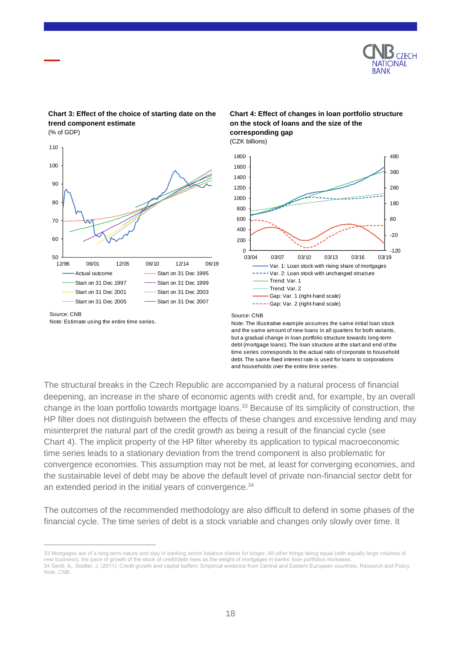

### **Chart 3: Effect of the choice of starting date on the trend component estimate**

(% of GDP)



Note: Estimate using the entire time series.

 $\overline{a}$ 

#### **Chart 4: Effect of changes in loan portfolio structure on the stock of loans and the size of the corresponding gap** (CZK billions)



Source: CNB

Note: The illustrative example assumes the same initial loan stock and the same amount of new loans in all quarters for both variants, but a gradual change in loan portfolio structure towards long-term debt (mortgage loans). The loan structure at the start and end of the time series corresponds to the actual ratio of corporate to household debt. The same fixed interest rate is used for loans to corporations and households over the entire time series.

The structural breaks in the Czech Republic are accompanied by a natural process of financial deepening, an increase in the share of economic agents with credit and, for example, by an overall change in the loan portfolio towards mortgage loans.<sup>33</sup> Because of its simplicity of construction, the HP filter does not distinguish between the effects of these changes and excessive lending and may misinterpret the natural part of the credit growth as being a result of the financial cycle (see Chart 4). The implicit property of the HP filter whereby its application to typical macroeconomic time series leads to a stationary deviation from the trend component is also problematic for convergence economies. This assumption may not be met, at least for converging economies, and the sustainable level of debt may be above the default level of private non-financial sector debt for an extended period in the initial years of convergence.<sup>34</sup>

The outcomes of the recommended methodology are also difficult to defend in some phases of the financial cycle. The time series of debt is a stock variable and changes only slowly over time. It

<sup>33</sup> Mortgages are of a long-term nature and stay in banking sector balance sheets for longer. All other things being equal (with equally large volumes of new business), the pace of growth of the stock of credit/debt rises as the weight of mortgages in banks' loan portfolios increases. 34 Geršl, A., Seidler, J. (2011): Credit growth and capital buffers: Empirical evidence from Central and Eastern European countries, Research and Policy Note, CNB.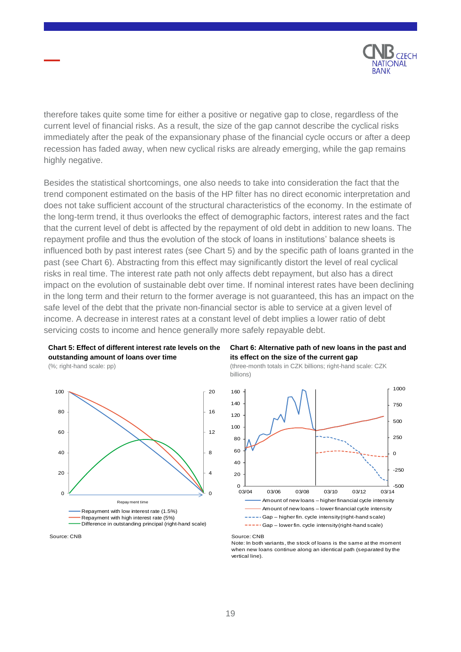

therefore takes quite some time for either a positive or negative gap to close, regardless of the current level of financial risks. As a result, the size of the gap cannot describe the cyclical risks immediately after the peak of the expansionary phase of the financial cycle occurs or after a deep recession has faded away, when new cyclical risks are already emerging, while the gap remains highly negative.

Besides the statistical shortcomings, one also needs to take into consideration the fact that the trend component estimated on the basis of the HP filter has no direct economic interpretation and does not take sufficient account of the structural characteristics of the economy. In the estimate of the long-term trend, it thus overlooks the effect of demographic factors, interest rates and the fact that the current level of debt is affected by the repayment of old debt in addition to new loans. The repayment profile and thus the evolution of the stock of loans in institutions' balance sheets is influenced both by past interest rates (see Chart 5) and by the specific path of loans granted in the past (see Chart 6). Abstracting from this effect may significantly distort the level of real cyclical risks in real time. The interest rate path not only affects debt repayment, but also has a direct impact on the evolution of sustainable debt over time. If nominal interest rates have been declining in the long term and their return to the former average is not guaranteed, this has an impact on the safe level of the debt that the private non-financial sector is able to service at a given level of income. A decrease in interest rates at a constant level of debt implies a lower ratio of debt servicing costs to income and hence generally more safely repayable debt.



(%; right-hand scale: pp)









Source: CNB

Note: In both variants, the stock of loans is the same at the moment when new loans continue along an identical path (separated by the vertical line).

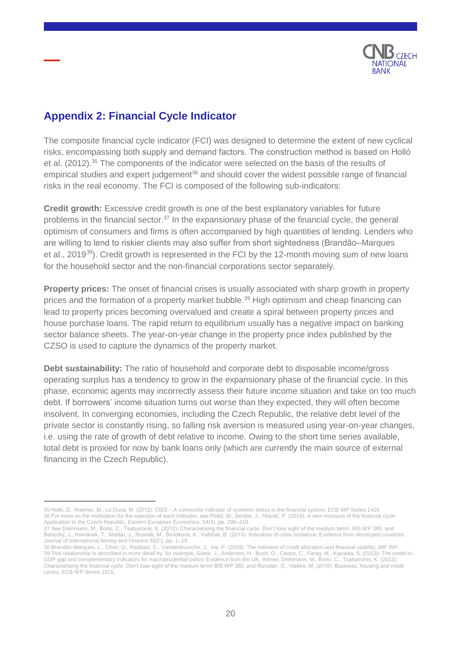

## <span id="page-19-0"></span>**Appendix 2: Financial Cycle Indicator**

 $\overline{a}$ 

The composite financial cycle indicator (FCI) was designed to determine the extent of new cyclical risks, encompassing both supply and demand factors. The construction method is based on Holló et al. (2012).<sup>35</sup> The components of the indicator were selected on the basis of the results of empirical studies and expert judgement<sup>36</sup> and should cover the widest possible range of financial risks in the real economy. The FCI is composed of the following sub-indicators:

**Credit growth:** Excessive credit growth is one of the best explanatory variables for future problems in the financial sector.<sup>37</sup> In the expansionary phase of the financial cycle, the general optimism of consumers and firms is often accompanied by high quantities of lending. Lenders who are willing to lend to riskier clients may also suffer from short sightedness (Brandão–Marques et al., 2019<sup>38</sup>). Credit growth is represented in the FCI by the 12-month moving sum of new loans for the household sector and the non-financial corporations sector separately.

**Property prices:** The onset of financial crises is usually associated with sharp growth in property prices and the formation of a property market bubble.<sup>39</sup> High optimism and cheap financing can lead to property prices becoming overvalued and create a spiral between property prices and house purchase loans. The rapid return to equilibrium usually has a negative impact on banking sector balance sheets. The year-on-year change in the property price index published by the CZSO is used to capture the dynamics of the property market.

**Debt sustainability:** The ratio of household and corporate debt to disposable income/gross operating surplus has a tendency to grow in the expansionary phase of the financial cycle. In this phase, economic agents may incorrectly assess their future income situation and take on too much debt. If borrowers' income situation turns out worse than they expected, they will often become insolvent. In converging economies, including the Czech Republic, the relative debt level of the private sector is constantly rising, so falling risk aversion is measured using year-on-year changes, i.e. using the rate of growth of debt relative to income. Owing to the short time series available, total debt is proxied for now by bank loans only (which are currently the main source of external financing in the Czech Republic).

<sup>35</sup> Holló, D., Kreimer, M., Lo Duca, M. (2012): CISS – A composite indicator of systemic stress in the financial system, ECB WP Series 1426 36 For more on the motivation for the selection of each indicator, see Plašil, M., Seidler, J., Hlaváč, P. (2016): A new measure of the financial cycle: Application to the Czech Republic, Eastern European Economics, 54(4), pp. 296–318.

<sup>37</sup> See Drehmann, M., Borio, C., Tsatsaronis, K. (2012): Characterising the financial cycle: Don't lose sight of the medium term!, BIS WP 380, and Babecký, J., Havránek, T., Matějů, J., Rusnák, M., Šmídková, K., Vašíček, B. (2013): Indicators of crisis incidence: Evidence from developed countries, Journal of International Money and Finance 35(C), pp. 1–19.

<sup>38</sup> Brandão-Marques, L., Chen, Q., Raddatz, C., Vandenbussche, J., Xie, P. (2019): The riskiness of credit allocation and financial stability, IMF WP. 39 This relationship is described in more detail by, for example, Giese, J., Andersen, H., Bush, O., Castro, C., Farag, M., Kapadia, S. (2013): The credit-to-GDP gap and complementary indicators for macroprudential policy: Evidence from the UK, mimeo, Drehmann, M., Borio, C., Tsatsaronis, K. (2012): Characterising the financial cycle: Don't lose sight of the medium term! BIS WP 380, and Rünstler, G., Vlekke, M. (2016): Business, housing and credit cycles, ECB WP Series 1915.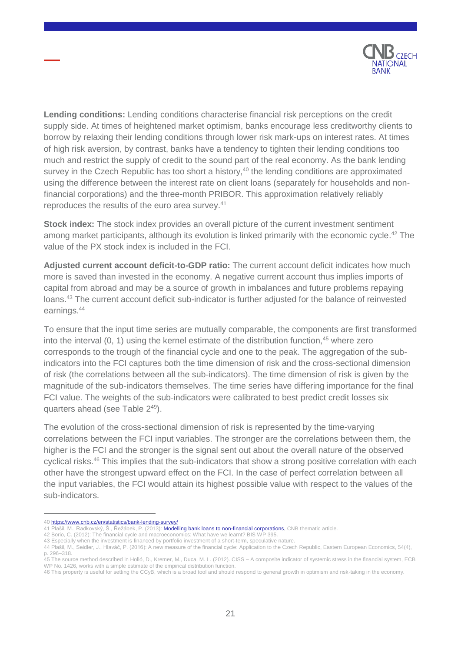

**Lending conditions:** Lending conditions characterise financial risk perceptions on the credit supply side. At times of heightened market optimism, banks encourage less creditworthy clients to borrow by relaxing their lending conditions through lower risk mark-ups on interest rates. At times of high risk aversion, by contrast, banks have a tendency to tighten their lending conditions too much and restrict the supply of credit to the sound part of the real economy. As the bank lending survey in the Czech Republic has too short a history,<sup>40</sup> the lending conditions are approximated using the difference between the interest rate on client loans (separately for households and nonfinancial corporations) and the three-month PRIBOR. This approximation relatively reliably reproduces the results of the euro area survey.<sup>41</sup>

**Stock index:** The stock index provides an overall picture of the current investment sentiment among market participants, although its evolution is linked primarily with the economic cycle.<sup>42</sup> The value of the PX stock index is included in the FCI.

**Adjusted current account deficit-to-GDP ratio:** The current account deficit indicates how much more is saved than invested in the economy. A negative current account thus implies imports of capital from abroad and may be a source of growth in imbalances and future problems repaying loans.<sup>43</sup> The current account deficit sub-indicator is further adjusted for the balance of reinvested earnings. 44

To ensure that the input time series are mutually comparable, the components are first transformed into the interval  $(0, 1)$  using the kernel estimate of the distribution function,  $45$  where zero corresponds to the trough of the financial cycle and one to the peak. The aggregation of the subindicators into the FCI captures both the time dimension of risk and the cross-sectional dimension of risk (the correlations between all the sub-indicators). The time dimension of risk is given by the magnitude of the sub-indicators themselves. The time series have differing importance for the final FCI value. The weights of the sub-indicators were calibrated to best predict credit losses six quarters ahead (see Table 2<sup>49</sup>).

The evolution of the cross-sectional dimension of risk is represented by the time-varying correlations between the FCI input variables. The stronger are the correlations between them, the higher is the FCI and the stronger is the signal sent out about the overall nature of the observed cyclical risks.<sup>46</sup> This implies that the sub-indicators that show a strong positive correlation with each other have the strongest upward effect on the FCI. In the case of perfect correlation between all the input variables, the FCI would attain its highest possible value with respect to the values of the sub-indicators.

<sup>40</sup> <https://www.cnb.cz/en/statistics/bank-lending-survey/> Plašil, M., Radkovský, Š., Řežábek, P. (2013)[: Modelling bank loans to non-financial corporations,](https://www.cnb.cz/export/sites/cnb/en/financial-stability/.galleries/fs_reports/fsr_2012-2013/fsr_2012-2013_article_v.pdf) CNB thematic article.

<sup>42</sup> Borio, C. (2012): The financial cycle and macroeconomics: What have we learnt? BIS WF

<sup>43</sup> Especially when the investment is financed by portfolio investment of a short-term, speculative nature.

<sup>44</sup> Plašil, M., Seidler, J., Hlaváč, P. (2016): A new measure of the financial cycle: Application to the Czech Republic, Eastern European Economics, 54(4), p. 296–318.

<sup>45</sup> The source method described in Holló, D., Kremer, M., Duca, M. L. (2012). CISS – A composite indicator of systemic stress in the financial system, ECB WP No. 1426, works with a simple estimate of the empirical distribution function.

<sup>46</sup> This property is useful for setting the CCyB, which is a broad tool and should respond to general growth in optimism and risk-taking in the economy.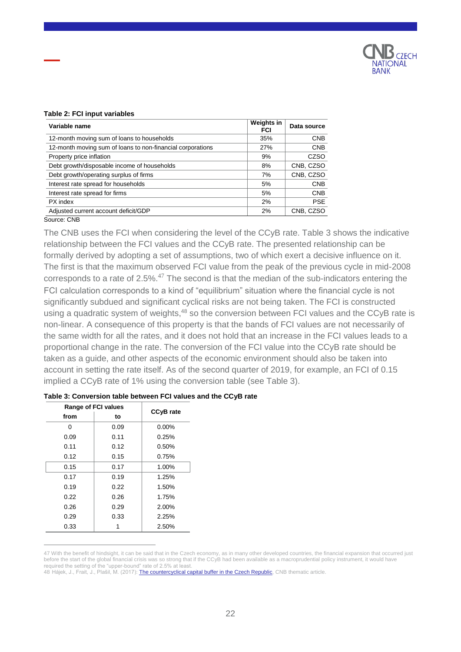

#### **Table 2: FCI input variables**

| Variable name                                              | Weights in<br><b>FCI</b> | Data source |
|------------------------------------------------------------|--------------------------|-------------|
| 12-month moving sum of loans to households                 | 35%                      | <b>CNB</b>  |
| 12-month moving sum of loans to non-financial corporations | 27%                      | <b>CNB</b>  |
| Property price inflation                                   | 9%                       | <b>CZSO</b> |
| Debt growth/disposable income of households                | 8%                       | CNB, CZSO   |
| Debt growth/operating surplus of firms                     | 7%                       | CNB, CZSO   |
| Interest rate spread for households                        | 5%                       | <b>CNB</b>  |
| Interest rate spread for firms                             | 5%                       | <b>CNB</b>  |
| PX index                                                   | 2%                       | <b>PSE</b>  |
| Adjusted current account deficit/GDP                       | 2%                       | CNB, CZSO   |
| Source: CNB                                                |                          |             |

The CNB uses the FCI when considering the level of the CCyB rate. Table 3 shows the indicative relationship between the FCI values and the CCyB rate. The presented relationship can be formally derived by adopting a set of assumptions, two of which exert a decisive influence on it. The first is that the maximum observed FCI value from the peak of the previous cycle in mid-2008 corresponds to a rate of  $2.5\%$ <sup>47</sup> The second is that the median of the sub-indicators entering the FCI calculation corresponds to a kind of "equilibrium" situation where the financial cycle is not significantly subdued and significant cyclical risks are not being taken. The FCI is constructed using a quadratic system of weights,<sup>48</sup> so the conversion between FCI values and the CCyB rate is non-linear. A consequence of this property is that the bands of FCI values are not necessarily of the same width for all the rates, and it does not hold that an increase in the FCI values leads to a proportional change in the rate. The conversion of the FCI value into the CCyB rate should be taken as a guide, and other aspects of the economic environment should also be taken into account in setting the rate itself. As of the second quarter of 2019, for example, an FCI of 0.15 implied a CCyB rate of 1% using the conversion table (see Table 3).

| <b>Range of FCI values</b> | <b>CCyB</b> rate |          |
|----------------------------|------------------|----------|
| from                       | to               |          |
| n                          | 0.09             | $0.00\%$ |
| 0.09                       | 0.11             | 0.25%    |
| 0.11                       | 0.12             | 0.50%    |
| 0.12                       | 0.15             | 0.75%    |
| 0.15                       | 0.17             | 1.00%    |
| 0.17                       | 0.19             | 1.25%    |
| 0.19                       | 0.22             | 1.50%    |
| 0.22                       | 0.26             | 1.75%    |
| 0.26                       | 0.29             | 2.00%    |
| 0.29                       | 0.33             | 2.25%    |
| 0.33                       |                  | 2.50%    |

 $\overline{a}$ 

#### **Table 3: Conversion table between FCI values and the CCyB rate**

<sup>47</sup> With the benefit of hindsight, it can be said that in the Czech economy, as in many other developed countries, the financial expansion that occurred just before the start of the global financial crisis was so strong that if the CCyB had been available as a macroprudential policy instrument, it would have required the setting of the "upper-bound" rate of 2.5% at least.

<sup>48</sup> Hájek, J., Frait, J., Plašil, M. (2017): [The countercyclical capital buffer in the Czech Republic,](https://www.cnb.cz/export/sites/cnb/en/financial-stability/.galleries/fs_reports/fsr_2016-2017/fsr_2016-2017_article_i.pdf) CNB thematic article.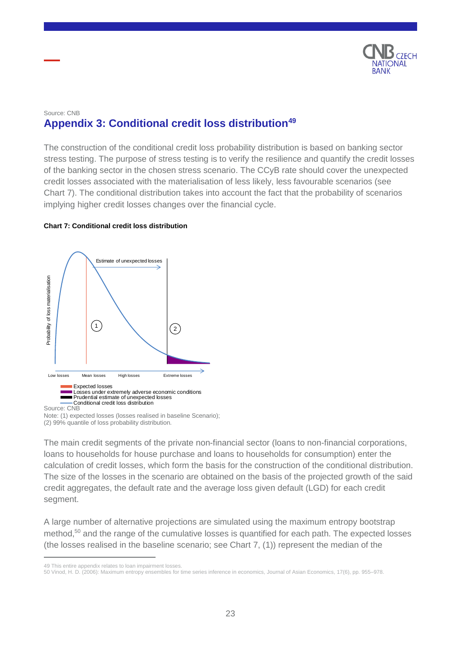

### <span id="page-22-0"></span>Source: CNB **Appendix 3: Conditional credit loss distribution<sup>49</sup>**

The construction of the conditional credit loss probability distribution is based on banking sector stress testing. The purpose of stress testing is to verify the resilience and quantify the credit losses of the banking sector in the chosen stress scenario. The CCyB rate should cover the unexpected credit losses associated with the materialisation of less likely, less favourable scenarios (see Chart 7). The conditional distribution takes into account the fact that the probability of scenarios implying higher credit losses changes over the financial cycle.

#### **Chart 7: Conditional credit loss distribution**



Source: CNB

 $\overline{a}$ 

The main credit segments of the private non-financial sector (loans to non-financial corporations, loans to households for house purchase and loans to households for consumption) enter the calculation of credit losses, which form the basis for the construction of the conditional distribution. The size of the losses in the scenario are obtained on the basis of the projected growth of the said credit aggregates, the default rate and the average loss given default (LGD) for each credit segment.

A large number of alternative projections are simulated using the maximum entropy bootstrap method,<sup>50</sup> and the range of the cumulative losses is quantified for each path. The expected losses (the losses realised in the baseline scenario; see Chart 7, (1)) represent the median of the

Note: (1) expected losses (losses realised in baseline Scenario); (2) 99% quantile of loss probability distribution.

<sup>49</sup> This entire appendix relates to loan impairment losses.

<sup>50</sup> Vinod, H. D. (2006): Maximum entropy ensembles for time series inference in economics, Journal of Asian Economics, 17(6), pp. 955–978.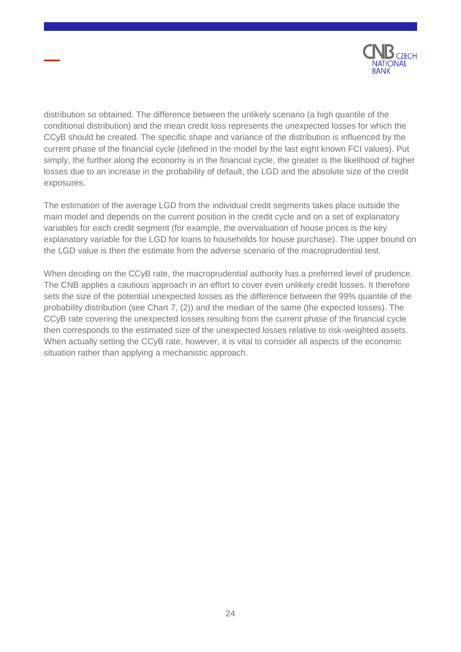

distribution so obtained. The difference between the unlikely scenario (a high quantile of the conditional distribution) and the mean credit loss represents the unexpected losses for which the CCyB should be created. The specific shape and variance of the distribution is influenced by the current phase of the financial cycle (defined in the model by the last eight known FCI values). Put simply, the further along the economy is in the financial cycle, the greater is the likelihood of higher losses due to an increase in the probability of default, the LGD and the absolute size of the credit exposures.

The estimation of the average LGD from the individual credit segments takes place outside the main model and depends on the current position in the credit cycle and on a set of explanatory variables for each credit segment (for example, the overvaluation of house prices is the key explanatory variable for the LGD for loans to households for house purchase). The upper bound on the LGD value is then the estimate from the adverse scenario of the macroprudential test.

When deciding on the CCyB rate, the macroprudential authority has a preferred level of prudence. The CNB applies a cautious approach in an effort to cover even unlikely credit losses. It therefore sets the size of the potential unexpected losses as the difference between the 99% quantile of the probability distribution (see Chart 7, (2)) and the median of the same (the expected losses). The CCyB rate covering the unexpected losses resulting from the current phase of the financial cycle then corresponds to the estimated size of the unexpected losses relative to risk-weighted assets. When actually setting the CCyB rate, however, it is vital to consider all aspects of the economic situation rather than applying a mechanistic approach.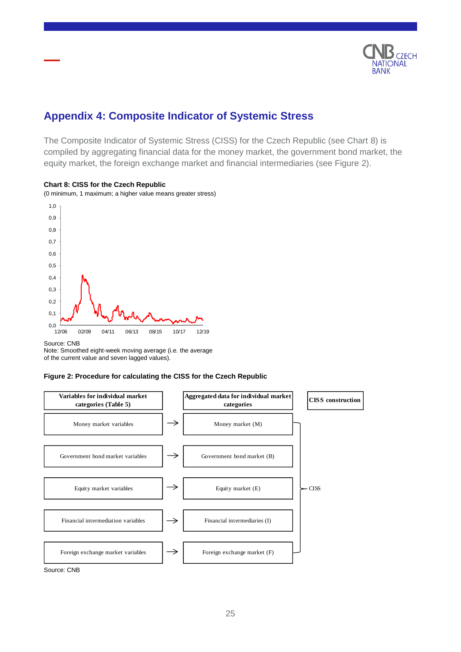

## <span id="page-24-0"></span>**Appendix 4: Composite Indicator of Systemic Stress**

The Composite Indicator of Systemic Stress (CISS) for the Czech Republic (see Chart 8) is compiled by aggregating financial data for the money market, the government bond market, the equity market, the foreign exchange market and financial intermediaries (see Figure 2).



#### **Chart 8: CISS for the Czech Republic**

(0 minimum, 1 maximum; a higher value means greater stress)

#### Source: CNB

Note: Smoothed eight-week moving average (i.e. the average of the current value and seven lagged values).

#### **Figure 2: Procedure for calculating the CISS for the Czech Republic**



Source: CNB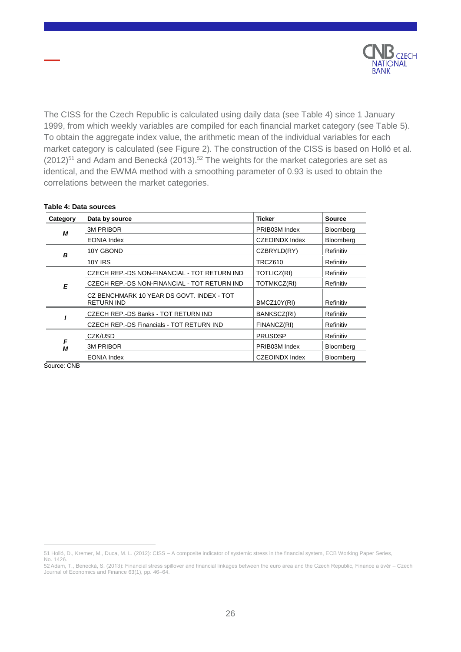

The CISS for the Czech Republic is calculated using daily data (see Table 4) since 1 January 1999, from which weekly variables are compiled for each financial market category (see Table 5). To obtain the aggregate index value, the arithmetic mean of the individual variables for each market category is calculated (see Figure 2). The construction of the CISS is based on Holló et al.  $(2012)^{51}$  and Adam and Benecká (2013).<sup>52</sup> The weights for the market categories are set as identical, and the EWMA method with a smoothing parameter of 0.93 is used to obtain the correlations between the market categories.

| Category | Data by source                                                 | <b>Ticker</b>         | <b>Source</b> |
|----------|----------------------------------------------------------------|-----------------------|---------------|
| М        | <b>3M PRIBOR</b>                                               | PRIB03M Index         | Bloomberg     |
|          | <b>EONIA Index</b>                                             | <b>CZEOINDX Index</b> | Bloomberg     |
| B        | 10Y GBOND                                                      | CZBRYLD(RY)           | Refinitiv     |
|          | 10Y IRS                                                        | TRCZ610               | Refinitiv     |
|          | CZECH REP. DS NON-FINANCIAL - TOT RETURN IND                   | TOTLICZ(RI)           | Refinitiv     |
| F        | CZECH REP. DS NON-FINANCIAL - TOT RETURN IND                   | TOTMKCZ(RI)           | Refinitiv     |
|          | CZ BENCHMARK 10 YEAR DS GOVT. INDEX - TOT<br><b>RETURN IND</b> | BMCZ10Y(RI)           | Refinitiv     |
|          | CZECH REP.-DS Banks - TOT RETURN IND                           | BANKSCZ(RI)           | Refinitiv     |
|          | CZECH REP.-DS Financials - TOT RETURN IND                      | FINANCZ(RI)           | Refinitiv     |
|          | CZK/USD                                                        | <b>PRUSDSP</b>        | Refinitiv     |
| F<br>М   | <b>3M PRIBOR</b>                                               | PRIB03M Index         | Bloomberg     |
|          | <b>EONIA Index</b>                                             | <b>CZEOINDX Index</b> | Bloomberg     |

#### **Table 4: Data sources**

Source: CNB

<sup>51</sup> Holló, D., Kremer, M., Duca, M. L. (2012): CISS – A composite indicator of systemic stress in the financial system, ECB Working Paper Series, No. 1426.

<sup>52</sup> Adam, T., Benecká, S. (2013): Financial stress spillover and financial linkages between the euro area and the Czech Republic, Finance a úvěr – Czech Journal of Economics and Finance 63(1), pp. 46–64.